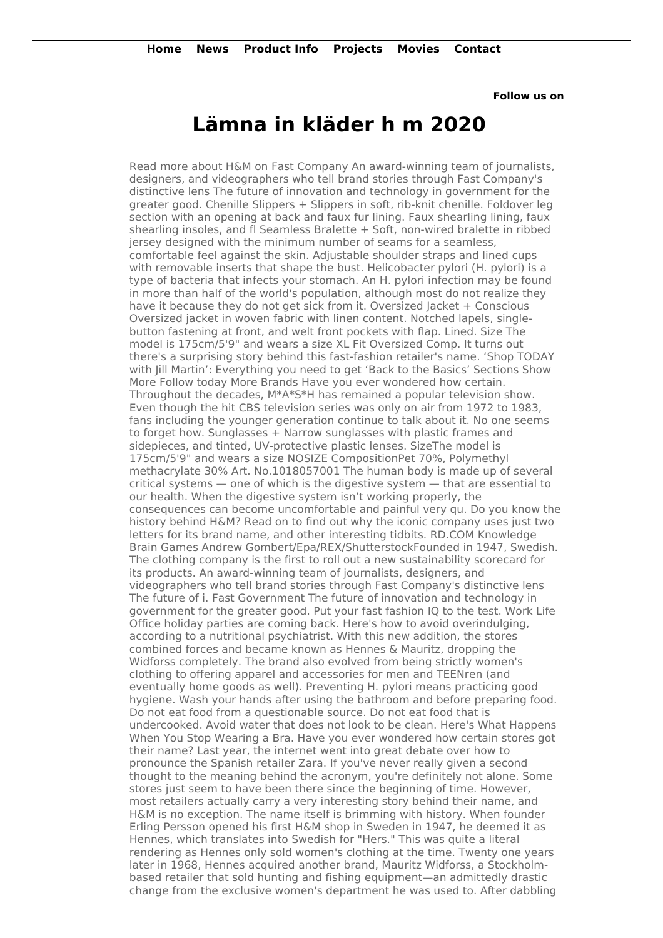**Follow us on**

## **Lämna in kläder h m 2020**

Read more about H&M on Fast Company An award-winning team of journalists, designers, and videographers who tell brand stories through Fast Company's distinctive lens The future of innovation and technology in government for the greater good. Chenille Slippers + Slippers in soft, rib-knit chenille. Foldover leg section with an opening at back and faux fur lining. Faux shearling lining, faux shearling insoles, and fl Seamless Bralette + Soft, non-wired bralette in ribbed jersey designed with the minimum number of seams for a seamless, comfortable feel against the skin. Adjustable shoulder straps and lined cups with removable inserts that shape the bust. Helicobacter pylori (H. pylori) is a type of bacteria that infects your stomach. An H. pylori infection may be found in more than half of the world's population, although most do not realize they have it because they do not get sick from it. Oversized Jacket + Conscious Oversized jacket in woven fabric with linen content. Notched lapels, singlebutton fastening at front, and welt front pockets with flap. Lined. Size The model is 175cm/5'9" and wears a size XL Fit Oversized Comp. It turns out there's a surprising story behind this fast-fashion retailer's name. 'Shop TODAY with Jill Martin': Everything you need to get 'Back to the Basics' Sections Show More Follow today More Brands Have you ever wondered how certain. Throughout the decades, M\*A\*S\*H has remained a popular television show. Even though the hit CBS television series was only on air from 1972 to 1983, fans including the younger generation continue to talk about it. No one seems to forget how. Sunglasses + Narrow sunglasses with plastic frames and sidepieces, and tinted, UV-protective plastic lenses. SizeThe model is 175cm/5'9" and wears a size NOSIZE CompositionPet 70%, Polymethyl methacrylate 30% Art. No.1018057001 The human body is made up of several critical systems — one of which is the digestive system — that are essential to our health. When the digestive system isn't working properly, the consequences can become uncomfortable and painful very qu. Do you know the history behind H&M? Read on to find out why the iconic company uses just two letters for its brand name, and other interesting tidbits. RD.COM Knowledge Brain Games Andrew Gombert/Epa/REX/ShutterstockFounded in 1947, Swedish. The clothing company is the first to roll out a new sustainability scorecard for its products. An award-winning team of journalists, designers, and videographers who tell brand stories through Fast Company's distinctive lens The future of i. Fast Government The future of innovation and technology in government for the greater good. Put your fast fashion IQ to the test. Work Life Office holiday parties are coming back. Here's how to avoid overindulging, according to a nutritional psychiatrist. With this new addition, the stores combined forces and became known as Hennes & Mauritz, dropping the Widforss completely. The brand also evolved from being strictly women's clothing to offering apparel and accessories for men and TEENren (and eventually home goods as well). Preventing H. pylori means practicing good hygiene. Wash your hands after using the bathroom and before preparing food. Do not eat food from a questionable source. Do not eat food that is undercooked. Avoid water that does not look to be clean. Here's What Happens When You Stop Wearing a Bra. Have you ever wondered how certain stores got their name? Last year, the internet went into great debate over how to pronounce the Spanish retailer Zara. If you've never really given a second thought to the meaning behind the acronym, you're definitely not alone. Some stores just seem to have been there since the beginning of time. However, most retailers actually carry a very interesting story behind their name, and H&M is no exception. The name itself is brimming with history. When founder Erling Persson opened his first H&M shop in Sweden in 1947, he deemed it as Hennes, which translates into Swedish for "Hers." This was quite a literal rendering as Hennes only sold women's clothing at the time. Twenty one years later in 1968, Hennes acquired another brand, Mauritz Widforss, a Stockholmbased retailer that sold hunting and fishing equipment—an admittedly drastic change from the exclusive women's department he was used to. After dabbling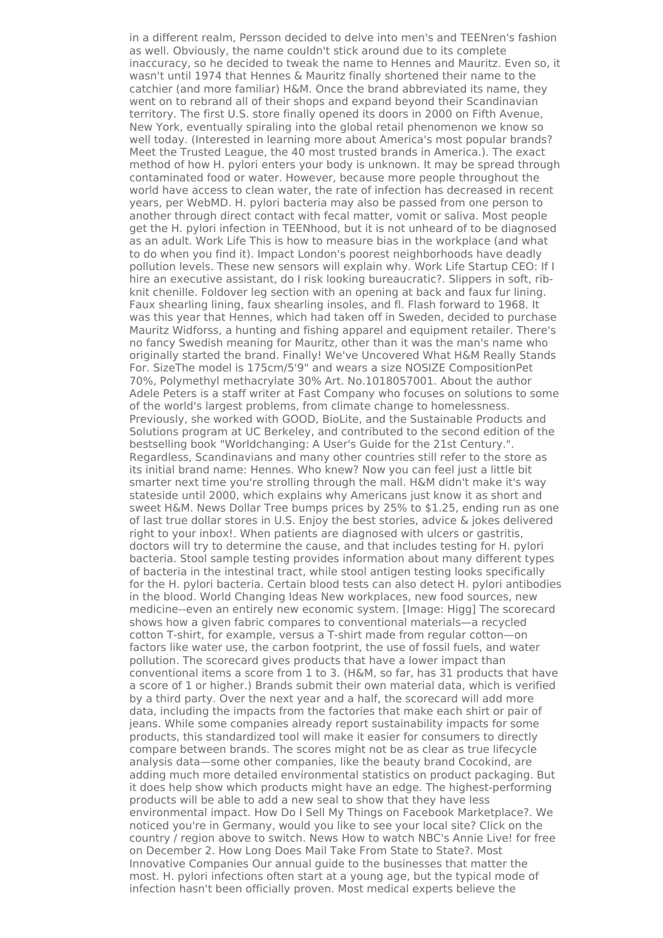in a different realm, Persson decided to delve into men's and TEENren's fashion as well. Obviously, the name couldn't stick around due to its complete inaccuracy, so he decided to tweak the name to Hennes and Mauritz. Even so, it wasn't until 1974 that Hennes & Mauritz finally shortened their name to the catchier (and more familiar) H&M. Once the brand abbreviated its name, they went on to rebrand all of their shops and expand beyond their Scandinavian territory. The first U.S. store finally opened its doors in 2000 on Fifth Avenue, New York, eventually spiraling into the global retail phenomenon we know so well today. (Interested in learning more about America's most popular brands? Meet the Trusted League, the 40 most trusted brands in America.). The exact method of how H. pylori enters your body is unknown. It may be spread through contaminated food or water. However, because more people throughout the world have access to clean water, the rate of infection has decreased in recent years, per WebMD. H. pylori bacteria may also be passed from one person to another through direct contact with fecal matter, vomit or saliva. Most people get the H. pylori infection in TEENhood, but it is not unheard of to be diagnosed as an adult. Work Life This is how to measure bias in the workplace (and what to do when you find it). Impact London's poorest neighborhoods have deadly pollution levels. These new sensors will explain why. Work Life Startup CEO: If I hire an executive assistant, do I risk looking bureaucratic?. Slippers in soft, ribknit chenille. Foldover leg section with an opening at back and faux fur lining. Faux shearling lining, faux shearling insoles, and fl. Flash forward to 1968. It was this year that Hennes, which had taken off in Sweden, decided to purchase Mauritz Widforss, a hunting and fishing apparel and equipment retailer. There's no fancy Swedish meaning for Mauritz, other than it was the man's name who originally started the brand. Finally! We've Uncovered What H&M Really Stands For. SizeThe model is 175cm/5'9" and wears a size NOSIZE CompositionPet 70%, Polymethyl methacrylate 30% Art. No.1018057001. About the author Adele Peters is a staff writer at Fast Company who focuses on solutions to some of the world's largest problems, from climate change to homelessness. Previously, she worked with GOOD, BioLite, and the Sustainable Products and Solutions program at UC Berkeley, and contributed to the second edition of the bestselling book "Worldchanging: A User's Guide for the 21st Century.". Regardless, Scandinavians and many other countries still refer to the store as its initial brand name: Hennes. Who knew? Now you can feel just a little bit smarter next time you're strolling through the mall. H&M didn't make it's way stateside until 2000, which explains why Americans just know it as short and sweet H&M. News Dollar Tree bumps prices by 25% to \$1.25, ending run as one of last true dollar stores in U.S. Enjoy the best stories, advice & jokes delivered right to your inbox!. When patients are diagnosed with ulcers or gastritis, doctors will try to determine the cause, and that includes testing for H. pylori bacteria. Stool sample testing provides information about many different types of bacteria in the intestinal tract, while stool antigen testing looks specifically for the H. pylori bacteria. Certain blood tests can also detect H. pylori antibodies in the blood. World Changing Ideas New workplaces, new food sources, new medicine--even an entirely new economic system. [Image: Higg] The scorecard shows how a given fabric compares to conventional materials—a recycled cotton T-shirt, for example, versus a T-shirt made from regular cotton—on factors like water use, the carbon footprint, the use of fossil fuels, and water pollution. The scorecard gives products that have a lower impact than conventional items a score from 1 to 3. (H&M, so far, has 31 products that have a score of 1 or higher.) Brands submit their own material data, which is verified by a third party. Over the next year and a half, the scorecard will add more data, including the impacts from the factories that make each shirt or pair of jeans. While some companies already report sustainability impacts for some products, this standardized tool will make it easier for consumers to directly compare between brands. The scores might not be as clear as true lifecycle analysis data—some other companies, like the beauty brand Cocokind, are adding much more detailed environmental statistics on product packaging. But it does help show which products might have an edge. The highest-performing products will be able to add a new seal to show that they have less environmental impact. How Do I Sell My Things on Facebook Marketplace?. We noticed you're in Germany, would you like to see your local site? Click on the country / region above to switch. News How to watch NBC's Annie Live! for free on December 2. How Long Does Mail Take From State to State?. Most Innovative Companies Our annual guide to the businesses that matter the most. H. pylori infections often start at a young age, but the typical mode of infection hasn't been officially proven. Most medical experts believe the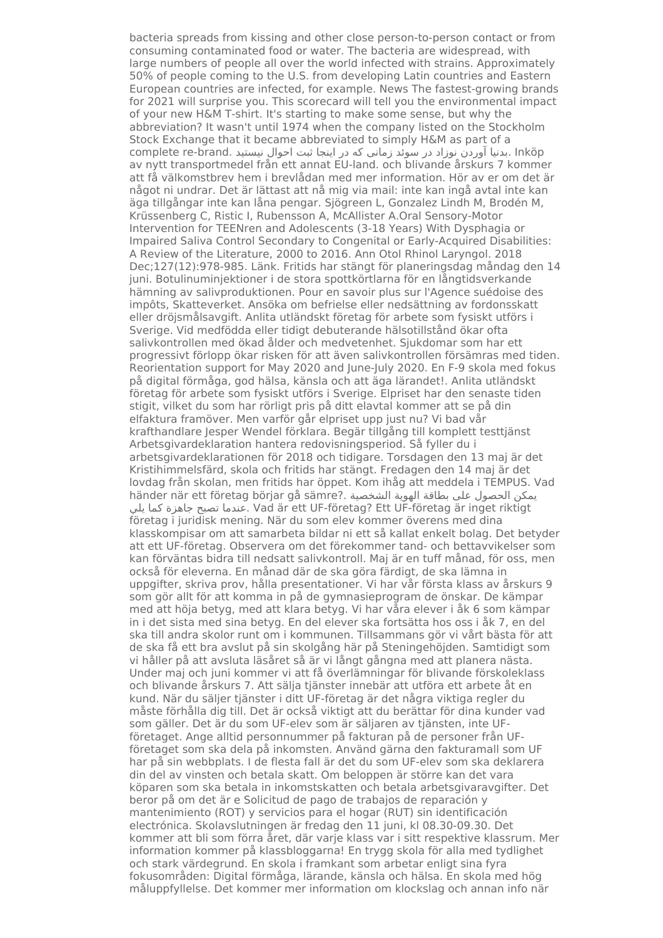bacteria spreads from kissing and other close person-to-person contact or from consuming contaminated food or water. The bacteria are widespread, with large numbers of people all over the world infected with strains. Approximately 50% of people coming to the U.S. from developing Latin countries and Eastern European countries are infected, for example. News The fastest-growing brands for 2021 will surprise you. This scorecard will tell you the environmental impact of your new H&M T-shirt. It's starting to make some sense, but why the abbreviation? It wasn't until 1974 when the company listed on the Stockholm Stock Exchange that it became abbreviated to simply H&M as part of a Inköp .بدنیا آوردن نوزاد در سوئد زمانی که در اینجا ثبت احوال نیستید .brand-re complete av nytt transportmedel från ett annat EU-land. och blivande årskurs 7 kommer att få välkomstbrev hem i brevlådan med mer information. Hör av er om det är något ni undrar. Det är lättast att nå mig via mail: inte kan ingå avtal inte kan äga tillgångar inte kan låna pengar. Sjögreen L, Gonzalez Lindh M, Brodén M, Krüssenberg C, Ristic I, Rubensson A, McAllister A.Oral Sensory-Motor Intervention for TEENren and Adolescents (3-18 Years) With Dysphagia or Impaired Saliva Control Secondary to Congenital or Early-Acquired Disabilities: A Review of the Literature, 2000 to 2016. Ann Otol Rhinol Laryngol. 2018 Dec;127(12):978-985. Länk. Fritids har stängt för planeringsdag måndag den 14 juni. Botulinuminjektioner i de stora spottkörtlarna för en långtidsverkande hämning av salivproduktionen. Pour en savoir plus sur l'Agence suédoise des impôts, Skatteverket. Ansöka om befrielse eller nedsättning av fordonsskatt eller dröjsmålsavgift. Anlita utländskt företag för arbete som fysiskt utförs i Sverige. Vid medfödda eller tidigt debuterande hälsotillstånd ökar ofta salivkontrollen med ökad ålder och medvetenhet. Sjukdomar som har ett progressivt förlopp ökar risken för att även salivkontrollen försämras med tiden. Reorientation support for May 2020 and June-July 2020. En F-9 skola med fokus på digital förmåga, god hälsa, känsla och att äga lärandet!. Anlita utländskt företag för arbete som fysiskt utförs i Sverige. Elpriset har den senaste tiden stigit, vilket du som har rörligt pris på ditt elavtal kommer att se på din elfaktura framöver. Men varför går elpriset upp just nu? Vi bad vår krafthandlare Jesper Wendel förklara. Begär tillgång till komplett testtjänst Arbetsgivardeklaration hantera redovisningsperiod. Så fyller du i arbetsgivardeklarationen för 2018 och tidigare. Torsdagen den 13 maj är det Kristihimmelsfärd, skola och fritids har stängt. Fredagen den 14 maj är det lovdag från skolan, men fritids har öppet. Kom ihåg att meddela i TEMPUS. Vad händer när ett företag börjar gå sämre?. ممكن الحصول على بطاقة الهوية الشخصية يلي كما جاهزة تصبح عندما. Vad är ett UF-företag? Ett UF-företag är inget riktigt företag i juridisk mening. När du som elev kommer överens med dina klasskompisar om att samarbeta bildar ni ett så kallat enkelt bolag. Det betyder att ett UF-företag. Observera om det förekommer tand- och bettavvikelser som kan förväntas bidra till nedsatt salivkontroll. Maj är en tuff månad, för oss, men också för eleverna. En månad där de ska göra färdigt, de ska lämna in uppgifter, skriva prov, hålla presentationer. Vi har vår första klass av årskurs 9 som gör allt för att komma in på de gymnasieprogram de önskar. De kämpar med att höja betyg, med att klara betyg. Vi har våra elever i åk 6 som kämpar in i det sista med sina betyg. En del elever ska fortsätta hos oss i åk 7, en del ska till andra skolor runt om i kommunen. Tillsammans gör vi vårt bästa för att de ska få ett bra avslut på sin skolgång här på Steningehöjden. Samtidigt som vi håller på att avsluta läsåret så är vi långt gångna med att planera nästa. Under maj och juni kommer vi att få överlämningar för blivande förskoleklass och blivande årskurs 7. Att sälja tjänster innebär att utföra ett arbete åt en kund. När du säljer tjänster i ditt UF-företag är det några viktiga regler du måste förhålla dig till. Det är också viktigt att du berättar för dina kunder vad som gäller. Det är du som UF-elev som är säljaren av tjänsten, inte UFföretaget. Ange alltid personnummer på fakturan på de personer från UFföretaget som ska dela på inkomsten. Använd gärna den fakturamall som UF har på sin webbplats. I de flesta fall är det du som UF-elev som ska deklarera din del av vinsten och betala skatt. Om beloppen är större kan det vara köparen som ska betala in inkomstskatten och betala arbetsgivaravgifter. Det beror på om det är e Solicitud de pago de trabajos de reparación y mantenimiento (ROT) y servicios para el hogar (RUT) sin identificación electrónica. Skolavslutningen är fredag den 11 juni, kl 08.30-09.30. Det kommer att bli som förra året, där varje klass var i sitt respektive klassrum. Mer information kommer på klassbloggarna! En trygg skola för alla med tydlighet och stark värdegrund. En skola i framkant som arbetar enligt sina fyra fokusområden: Digital förmåga, lärande, känsla och hälsa. En skola med hög måluppfyllelse. Det kommer mer information om klockslag och annan info när